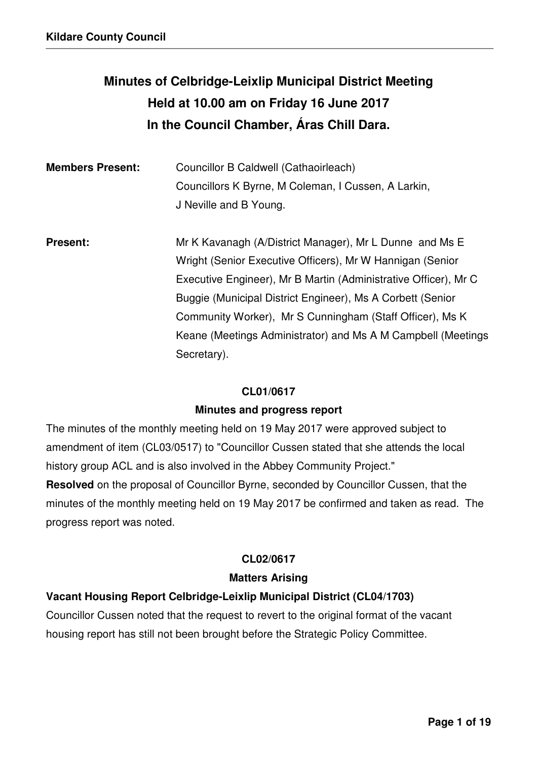# **Minutes of Celbridge-Leixlip Municipal District Meeting Held at 10.00 am on Friday 16 June 2017 In the Council Chamber, Áras Chill Dara.**

| <b>Members Present:</b> | Councillor B Caldwell (Cathaoirleach)<br>Councillors K Byrne, M Coleman, I Cussen, A Larkin,<br>J Neville and B Young.                                                                                                                                                                                                                                                                           |
|-------------------------|--------------------------------------------------------------------------------------------------------------------------------------------------------------------------------------------------------------------------------------------------------------------------------------------------------------------------------------------------------------------------------------------------|
| <b>Present:</b>         | Mr K Kavanagh (A/District Manager), Mr L Dunne and Ms E<br>Wright (Senior Executive Officers), Mr W Hannigan (Senior<br>Executive Engineer), Mr B Martin (Administrative Officer), Mr C<br>Buggie (Municipal District Engineer), Ms A Corbett (Senior<br>Community Worker), Mr S Cunningham (Staff Officer), Ms K<br>Keane (Meetings Administrator) and Ms A M Campbell (Meetings<br>Secretary). |

#### **CL01/0617**

#### **Minutes and progress report**

The minutes of the monthly meeting held on 19 May 2017 were approved subject to amendment of item (CL03/0517) to "Councillor Cussen stated that she attends the local history group ACL and is also involved in the Abbey Community Project."

**Resolved** on the proposal of Councillor Byrne, seconded by Councillor Cussen, that the minutes of the monthly meeting held on 19 May 2017 be confirmed and taken as read. The progress report was noted.

### **CL02/0617**

#### **Matters Arising**

### **Vacant Housing Report Celbridge-Leixlip Municipal District (CL04/1703)**

Councillor Cussen noted that the request to revert to the original format of the vacant housing report has still not been brought before the Strategic Policy Committee.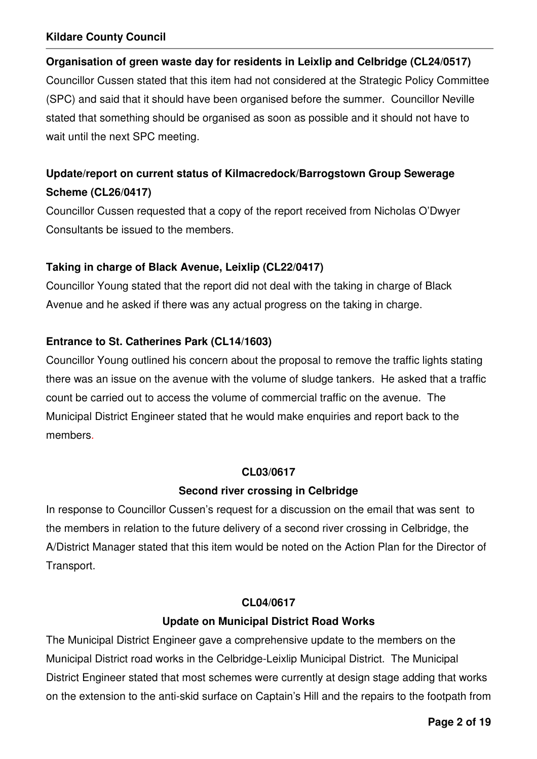#### **Organisation of green waste day for residents in Leixlip and Celbridge (CL24/0517)**

Councillor Cussen stated that this item had not considered at the Strategic Policy Committee (SPC) and said that it should have been organised before the summer. Councillor Neville stated that something should be organised as soon as possible and it should not have to wait until the next SPC meeting.

# **Update/report on current status of Kilmacredock/Barrogstown Group Sewerage Scheme (CL26/0417)**

Councillor Cussen requested that a copy of the report received from Nicholas O'Dwyer Consultants be issued to the members.

### **Taking in charge of Black Avenue, Leixlip (CL22/0417)**

Councillor Young stated that the report did not deal with the taking in charge of Black Avenue and he asked if there was any actual progress on the taking in charge.

### **Entrance to St. Catherines Park (CL14/1603)**

Councillor Young outlined his concern about the proposal to remove the traffic lights stating there was an issue on the avenue with the volume of sludge tankers. He asked that a traffic count be carried out to access the volume of commercial traffic on the avenue. The Municipal District Engineer stated that he would make enquiries and report back to the members.

#### **CL03/0617**

#### **Second river crossing in Celbridge**

In response to Councillor Cussen's request for a discussion on the email that was sent to the members in relation to the future delivery of a second river crossing in Celbridge, the A/District Manager stated that this item would be noted on the Action Plan for the Director of Transport.

#### **CL04/0617**

#### **Update on Municipal District Road Works**

The Municipal District Engineer gave a comprehensive update to the members on the Municipal District road works in the Celbridge-Leixlip Municipal District. The Municipal District Engineer stated that most schemes were currently at design stage adding that works on the extension to the anti-skid surface on Captain's Hill and the repairs to the footpath from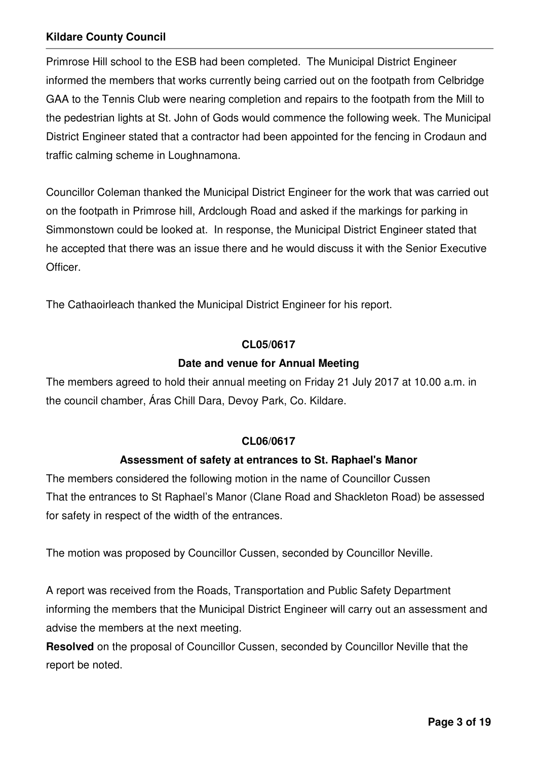Primrose Hill school to the ESB had been completed. The Municipal District Engineer informed the members that works currently being carried out on the footpath from Celbridge GAA to the Tennis Club were nearing completion and repairs to the footpath from the Mill to the pedestrian lights at St. John of Gods would commence the following week. The Municipal District Engineer stated that a contractor had been appointed for the fencing in Crodaun and traffic calming scheme in Loughnamona.

Councillor Coleman thanked the Municipal District Engineer for the work that was carried out on the footpath in Primrose hill, Ardclough Road and asked if the markings for parking in Simmonstown could be looked at. In response, the Municipal District Engineer stated that he accepted that there was an issue there and he would discuss it with the Senior Executive Officer.

The Cathaoirleach thanked the Municipal District Engineer for his report.

#### **CL05/0617**

#### **Date and venue for Annual Meeting**

The members agreed to hold their annual meeting on Friday 21 July 2017 at 10.00 a.m. in the council chamber, Áras Chill Dara, Devoy Park, Co. Kildare.

#### **CL06/0617**

### **Assessment of safety at entrances to St. Raphael's Manor**

The members considered the following motion in the name of Councillor Cussen That the entrances to St Raphael's Manor (Clane Road and Shackleton Road) be assessed for safety in respect of the width of the entrances.

The motion was proposed by Councillor Cussen, seconded by Councillor Neville.

A report was received from the Roads, Transportation and Public Safety Department informing the members that the Municipal District Engineer will carry out an assessment and advise the members at the next meeting.

**Resolved** on the proposal of Councillor Cussen, seconded by Councillor Neville that the report be noted.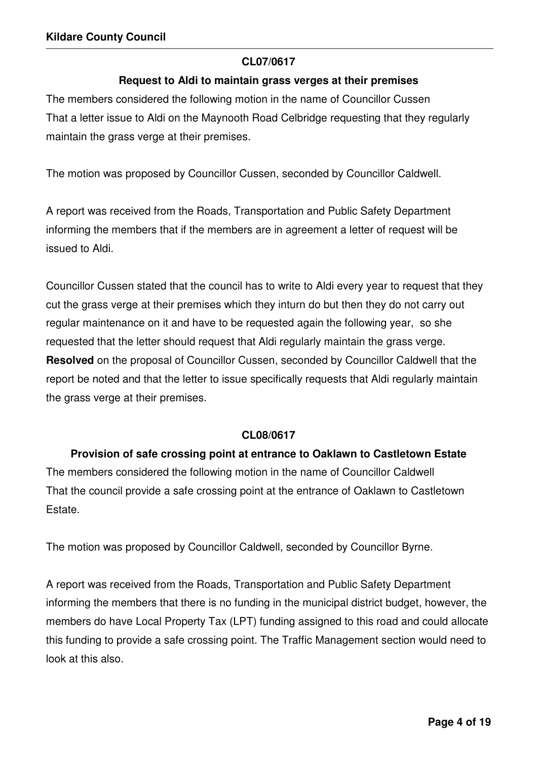#### **CL07/0617**

#### **Request to Aldi to maintain grass verges at their premises**

The members considered the following motion in the name of Councillor Cussen That a letter issue to Aldi on the Maynooth Road Celbridge requesting that they regularly maintain the grass verge at their premises.

The motion was proposed by Councillor Cussen, seconded by Councillor Caldwell.

A report was received from the Roads, Transportation and Public Safety Department informing the members that if the members are in agreement a letter of request will be issued to Aldi.

Councillor Cussen stated that the council has to write to Aldi every year to request that they cut the grass verge at their premises which they inturn do but then they do not carry out regular maintenance on it and have to be requested again the following year, so she requested that the letter should request that Aldi regularly maintain the grass verge. **Resolved** on the proposal of Councillor Cussen, seconded by Councillor Caldwell that the report be noted and that the letter to issue specifically requests that Aldi regularly maintain the grass verge at their premises.

#### **CL08/0617**

**Provision of safe crossing point at entrance to Oaklawn to Castletown Estate** The members considered the following motion in the name of Councillor Caldwell That the council provide a safe crossing point at the entrance of Oaklawn to Castletown Estate.

The motion was proposed by Councillor Caldwell, seconded by Councillor Byrne.

A report was received from the Roads, Transportation and Public Safety Department informing the members that there is no funding in the municipal district budget, however, the members do have Local Property Tax (LPT) funding assigned to this road and could allocate this funding to provide a safe crossing point. The Traffic Management section would need to look at this also.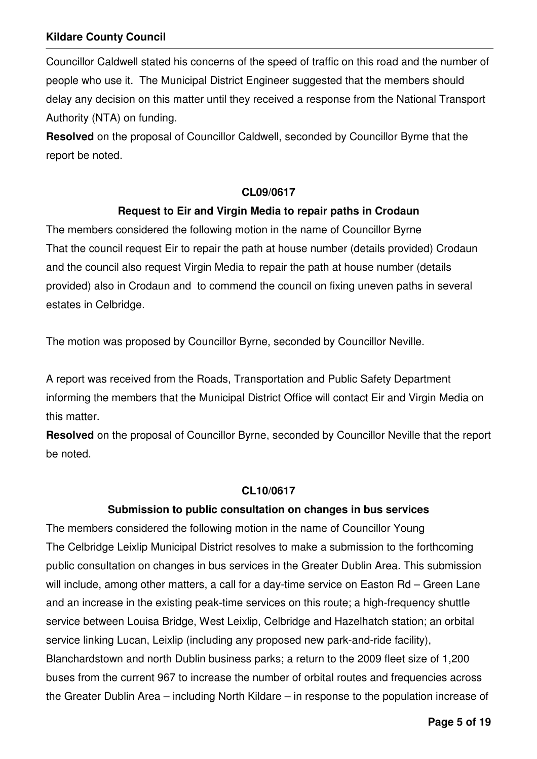Councillor Caldwell stated his concerns of the speed of traffic on this road and the number of people who use it. The Municipal District Engineer suggested that the members should delay any decision on this matter until they received a response from the National Transport Authority (NTA) on funding.

**Resolved** on the proposal of Councillor Caldwell, seconded by Councillor Byrne that the report be noted.

#### **CL09/0617**

#### **Request to Eir and Virgin Media to repair paths in Crodaun**

The members considered the following motion in the name of Councillor Byrne That the council request Eir to repair the path at house number (details provided) Crodaun and the council also request Virgin Media to repair the path at house number (details provided) also in Crodaun and to commend the council on fixing uneven paths in several estates in Celbridge.

The motion was proposed by Councillor Byrne, seconded by Councillor Neville.

A report was received from the Roads, Transportation and Public Safety Department informing the members that the Municipal District Office will contact Eir and Virgin Media on this matter.

**Resolved** on the proposal of Councillor Byrne, seconded by Councillor Neville that the report be noted.

#### **CL10/0617**

#### **Submission to public consultation on changes in bus services**

The members considered the following motion in the name of Councillor Young The Celbridge Leixlip Municipal District resolves to make a submission to the forthcoming public consultation on changes in bus services in the Greater Dublin Area. This submission will include, among other matters, a call for a day-time service on Easton Rd – Green Lane and an increase in the existing peak-time services on this route; a high-frequency shuttle service between Louisa Bridge, West Leixlip, Celbridge and Hazelhatch station; an orbital service linking Lucan, Leixlip (including any proposed new park-and-ride facility), Blanchardstown and north Dublin business parks; a return to the 2009 fleet size of 1,200 buses from the current 967 to increase the number of orbital routes and frequencies across the Greater Dublin Area – including North Kildare – in response to the population increase of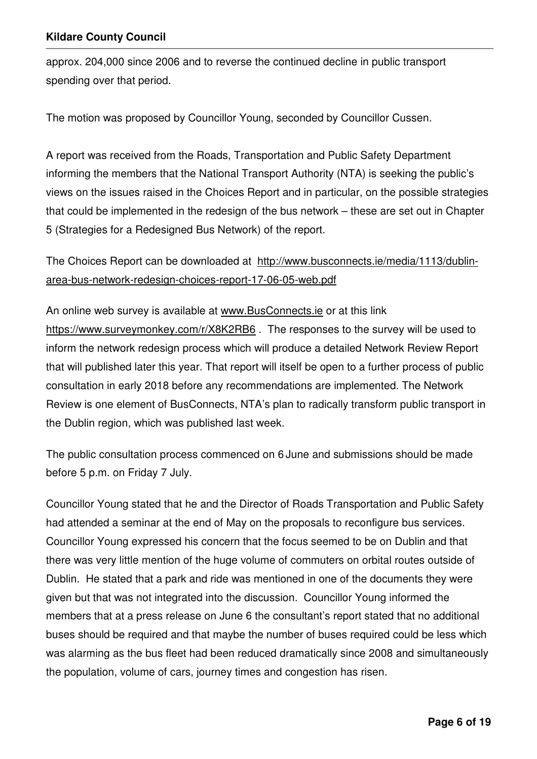approx. 204,000 since 2006 and to reverse the continued decline in public transport spending over that period.

The motion was proposed by Councillor Young, seconded by Councillor Cussen.

A report was received from the Roads, Transportation and Public Safety Department informing the members that the National Transport Authority (NTA) is seeking the public's views on the issues raised in the Choices Report and in particular, on the possible strategies that could be implemented in the redesign of the bus network – these are set out in Chapter 5 (Strategies for a Redesigned Bus Network) of the report.

The Choices Report can be downloaded at http://www.busconnects.ie/media/1113/dublinarea-bus-network-redesign-choices-report-17-06-05-web.pdf

An online web survey is available at www.BusConnects.ie or at this link https://www.surveymonkey.com/r/X8K2RB6 . The responses to the survey will be used to inform the network redesign process which will produce a detailed Network Review Report that will published later this year. That report will itself be open to a further process of public consultation in early 2018 before any recommendations are implemented. The Network Review is one element of BusConnects, NTA's plan to radically transform public transport in the Dublin region, which was published last week.

The public consultation process commenced on 6 June and submissions should be made before 5 p.m. on Friday 7 July.

Councillor Young stated that he and the Director of Roads Transportation and Public Safety had attended a seminar at the end of May on the proposals to reconfigure bus services. Councillor Young expressed his concern that the focus seemed to be on Dublin and that there was very little mention of the huge volume of commuters on orbital routes outside of Dublin. He stated that a park and ride was mentioned in one of the documents they were given but that was not integrated into the discussion. Councillor Young informed the members that at a press release on June 6 the consultant's report stated that no additional buses should be required and that maybe the number of buses required could be less which was alarming as the bus fleet had been reduced dramatically since 2008 and simultaneously the population, volume of cars, journey times and congestion has risen.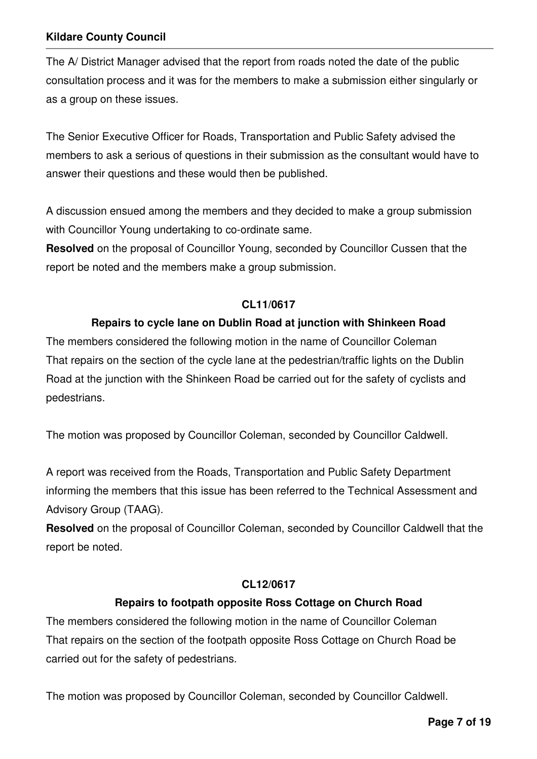The A/ District Manager advised that the report from roads noted the date of the public consultation process and it was for the members to make a submission either singularly or as a group on these issues.

The Senior Executive Officer for Roads, Transportation and Public Safety advised the members to ask a serious of questions in their submission as the consultant would have to answer their questions and these would then be published.

A discussion ensued among the members and they decided to make a group submission with Councillor Young undertaking to co-ordinate same.

**Resolved** on the proposal of Councillor Young, seconded by Councillor Cussen that the report be noted and the members make a group submission.

#### **CL11/0617**

#### **Repairs to cycle lane on Dublin Road at junction with Shinkeen Road**

The members considered the following motion in the name of Councillor Coleman That repairs on the section of the cycle lane at the pedestrian/traffic lights on the Dublin Road at the junction with the Shinkeen Road be carried out for the safety of cyclists and pedestrians.

The motion was proposed by Councillor Coleman, seconded by Councillor Caldwell.

A report was received from the Roads, Transportation and Public Safety Department informing the members that this issue has been referred to the Technical Assessment and Advisory Group (TAAG).

**Resolved** on the proposal of Councillor Coleman, seconded by Councillor Caldwell that the report be noted.

#### **CL12/0617**

#### **Repairs to footpath opposite Ross Cottage on Church Road**

The members considered the following motion in the name of Councillor Coleman That repairs on the section of the footpath opposite Ross Cottage on Church Road be carried out for the safety of pedestrians.

The motion was proposed by Councillor Coleman, seconded by Councillor Caldwell.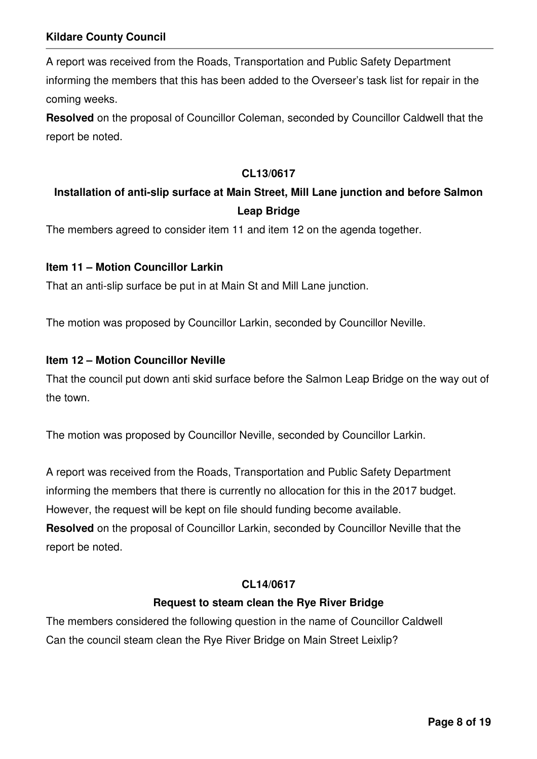A report was received from the Roads, Transportation and Public Safety Department informing the members that this has been added to the Overseer's task list for repair in the coming weeks.

**Resolved** on the proposal of Councillor Coleman, seconded by Councillor Caldwell that the report be noted.

#### **CL13/0617**

# **Installation of anti-slip surface at Main Street, Mill Lane junction and before Salmon Leap Bridge**

The members agreed to consider item 11 and item 12 on the agenda together.

#### **Item 11 – Motion Councillor Larkin**

That an anti-slip surface be put in at Main St and Mill Lane junction.

The motion was proposed by Councillor Larkin, seconded by Councillor Neville.

#### **Item 12 – Motion Councillor Neville**

That the council put down anti skid surface before the Salmon Leap Bridge on the way out of the town.

The motion was proposed by Councillor Neville, seconded by Councillor Larkin.

A report was received from the Roads, Transportation and Public Safety Department informing the members that there is currently no allocation for this in the 2017 budget. However, the request will be kept on file should funding become available. **Resolved** on the proposal of Councillor Larkin, seconded by Councillor Neville that the report be noted.

#### **CL14/0617**

#### **Request to steam clean the Rye River Bridge**

The members considered the following question in the name of Councillor Caldwell Can the council steam clean the Rye River Bridge on Main Street Leixlip?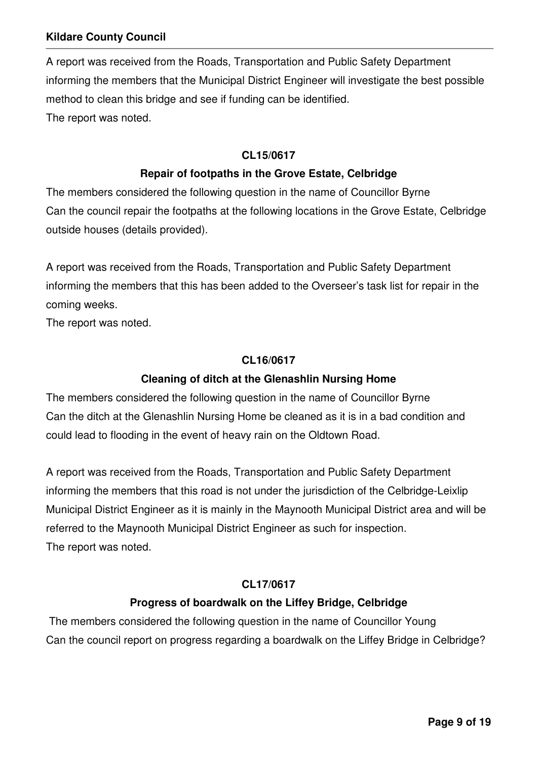A report was received from the Roads, Transportation and Public Safety Department informing the members that the Municipal District Engineer will investigate the best possible method to clean this bridge and see if funding can be identified. The report was noted.

#### **CL15/0617**

### **Repair of footpaths in the Grove Estate, Celbridge**

The members considered the following question in the name of Councillor Byrne Can the council repair the footpaths at the following locations in the Grove Estate, Celbridge outside houses (details provided).

A report was received from the Roads, Transportation and Public Safety Department informing the members that this has been added to the Overseer's task list for repair in the coming weeks.

The report was noted.

#### **CL16/0617**

### **Cleaning of ditch at the Glenashlin Nursing Home**

The members considered the following question in the name of Councillor Byrne Can the ditch at the Glenashlin Nursing Home be cleaned as it is in a bad condition and could lead to flooding in the event of heavy rain on the Oldtown Road.

A report was received from the Roads, Transportation and Public Safety Department informing the members that this road is not under the jurisdiction of the Celbridge-Leixlip Municipal District Engineer as it is mainly in the Maynooth Municipal District area and will be referred to the Maynooth Municipal District Engineer as such for inspection. The report was noted.

#### **CL17/0617**

### **Progress of boardwalk on the Liffey Bridge, Celbridge**

 The members considered the following question in the name of Councillor Young Can the council report on progress regarding a boardwalk on the Liffey Bridge in Celbridge?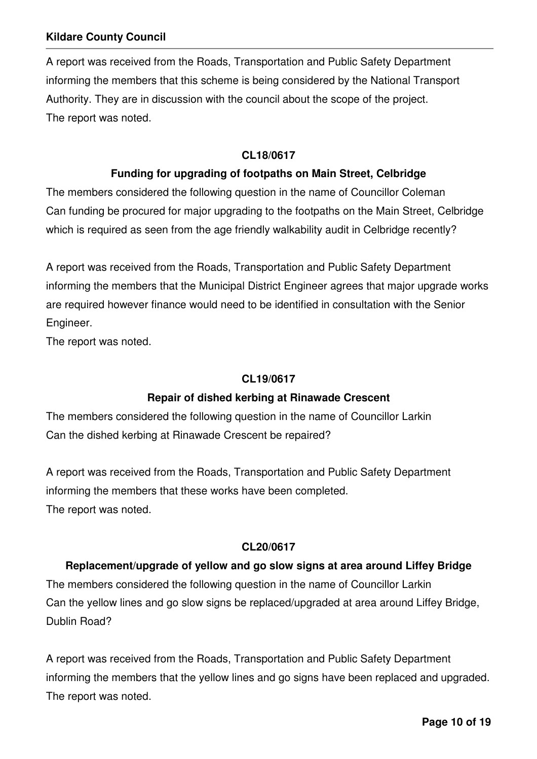A report was received from the Roads, Transportation and Public Safety Department informing the members that this scheme is being considered by the National Transport Authority. They are in discussion with the council about the scope of the project. The report was noted.

#### **CL18/0617**

### **Funding for upgrading of footpaths on Main Street, Celbridge**

The members considered the following question in the name of Councillor Coleman Can funding be procured for major upgrading to the footpaths on the Main Street, Celbridge which is required as seen from the age friendly walkability audit in Celbridge recently?

A report was received from the Roads, Transportation and Public Safety Department informing the members that the Municipal District Engineer agrees that major upgrade works are required however finance would need to be identified in consultation with the Senior Engineer.

The report was noted.

#### **CL19/0617**

### **Repair of dished kerbing at Rinawade Crescent**

The members considered the following question in the name of Councillor Larkin Can the dished kerbing at Rinawade Crescent be repaired?

A report was received from the Roads, Transportation and Public Safety Department informing the members that these works have been completed. The report was noted.

#### **CL20/0617**

#### **Replacement/upgrade of yellow and go slow signs at area around Liffey Bridge**

The members considered the following question in the name of Councillor Larkin Can the yellow lines and go slow signs be replaced/upgraded at area around Liffey Bridge, Dublin Road?

A report was received from the Roads, Transportation and Public Safety Department informing the members that the yellow lines and go signs have been replaced and upgraded. The report was noted.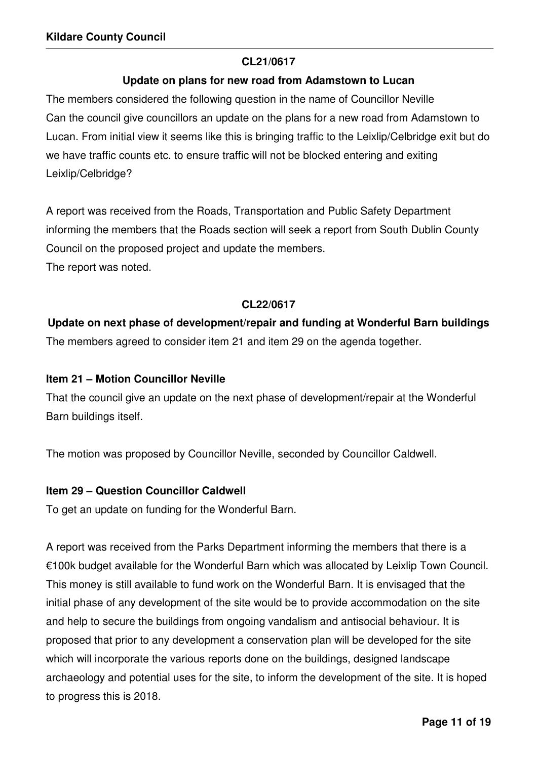#### **CL21/0617**

#### **Update on plans for new road from Adamstown to Lucan**

The members considered the following question in the name of Councillor Neville Can the council give councillors an update on the plans for a new road from Adamstown to Lucan. From initial view it seems like this is bringing traffic to the Leixlip/Celbridge exit but do we have traffic counts etc. to ensure traffic will not be blocked entering and exiting Leixlip/Celbridge?

A report was received from the Roads, Transportation and Public Safety Department informing the members that the Roads section will seek a report from South Dublin County Council on the proposed project and update the members. The report was noted.

#### **CL22/0617**

**Update on next phase of development/repair and funding at Wonderful Barn buildings**  The members agreed to consider item 21 and item 29 on the agenda together.

#### **Item 21 – Motion Councillor Neville**

That the council give an update on the next phase of development/repair at the Wonderful Barn buildings itself.

The motion was proposed by Councillor Neville, seconded by Councillor Caldwell.

#### **Item 29 – Question Councillor Caldwell**

To get an update on funding for the Wonderful Barn.

A report was received from the Parks Department informing the members that there is a €100k budget available for the Wonderful Barn which was allocated by Leixlip Town Council. This money is still available to fund work on the Wonderful Barn. It is envisaged that the initial phase of any development of the site would be to provide accommodation on the site and help to secure the buildings from ongoing vandalism and antisocial behaviour. It is proposed that prior to any development a conservation plan will be developed for the site which will incorporate the various reports done on the buildings, designed landscape archaeology and potential uses for the site, to inform the development of the site. It is hoped to progress this is 2018.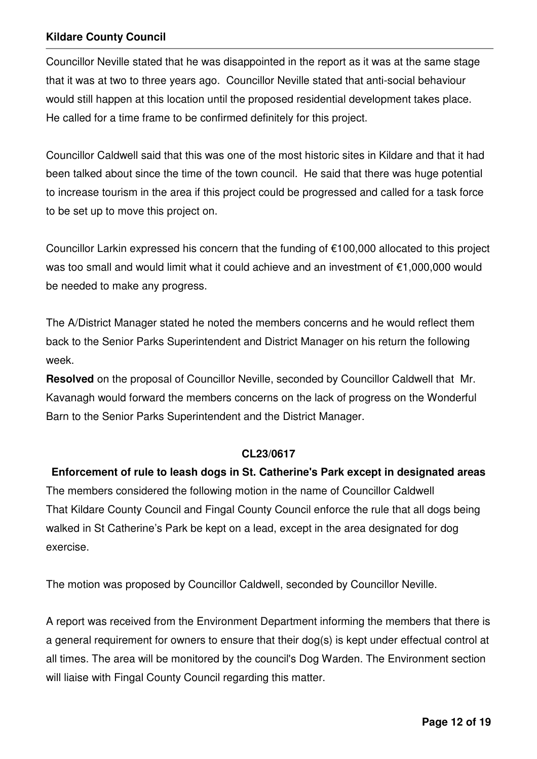Councillor Neville stated that he was disappointed in the report as it was at the same stage that it was at two to three years ago. Councillor Neville stated that anti-social behaviour would still happen at this location until the proposed residential development takes place. He called for a time frame to be confirmed definitely for this project.

Councillor Caldwell said that this was one of the most historic sites in Kildare and that it had been talked about since the time of the town council. He said that there was huge potential to increase tourism in the area if this project could be progressed and called for a task force to be set up to move this project on.

Councillor Larkin expressed his concern that the funding of €100,000 allocated to this project was too small and would limit what it could achieve and an investment of €1,000,000 would be needed to make any progress.

The A/District Manager stated he noted the members concerns and he would reflect them back to the Senior Parks Superintendent and District Manager on his return the following week.

**Resolved** on the proposal of Councillor Neville, seconded by Councillor Caldwell that Mr. Kavanagh would forward the members concerns on the lack of progress on the Wonderful Barn to the Senior Parks Superintendent and the District Manager.

#### **CL23/0617**

#### **Enforcement of rule to leash dogs in St. Catherine's Park except in designated areas**

The members considered the following motion in the name of Councillor Caldwell That Kildare County Council and Fingal County Council enforce the rule that all dogs being walked in St Catherine's Park be kept on a lead, except in the area designated for dog exercise.

The motion was proposed by Councillor Caldwell, seconded by Councillor Neville.

A report was received from the Environment Department informing the members that there is a general requirement for owners to ensure that their dog(s) is kept under effectual control at all times. The area will be monitored by the council's Dog Warden. The Environment section will liaise with Fingal County Council regarding this matter.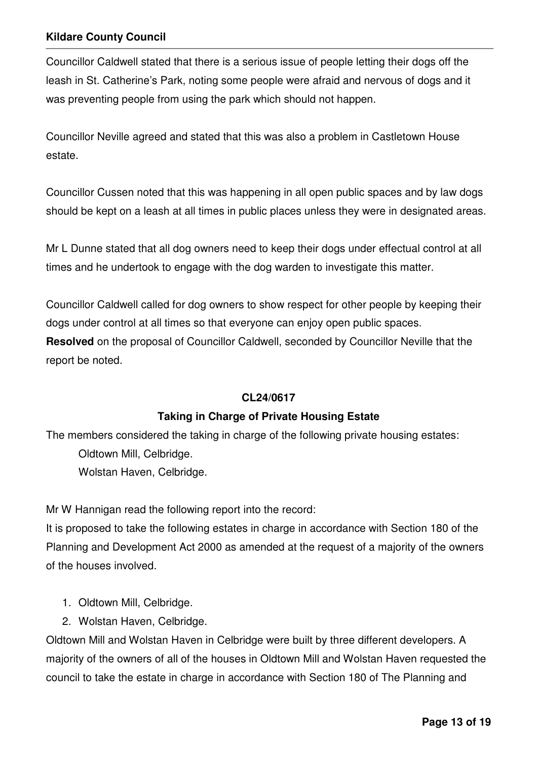Councillor Caldwell stated that there is a serious issue of people letting their dogs off the leash in St. Catherine's Park, noting some people were afraid and nervous of dogs and it was preventing people from using the park which should not happen.

Councillor Neville agreed and stated that this was also a problem in Castletown House estate.

Councillor Cussen noted that this was happening in all open public spaces and by law dogs should be kept on a leash at all times in public places unless they were in designated areas.

Mr L Dunne stated that all dog owners need to keep their dogs under effectual control at all times and he undertook to engage with the dog warden to investigate this matter.

Councillor Caldwell called for dog owners to show respect for other people by keeping their dogs under control at all times so that everyone can enjoy open public spaces. **Resolved** on the proposal of Councillor Caldwell, seconded by Councillor Neville that the report be noted.

#### **CL24/0617**

### **Taking in Charge of Private Housing Estate**

The members considered the taking in charge of the following private housing estates: Oldtown Mill, Celbridge.

Wolstan Haven, Celbridge.

Mr W Hannigan read the following report into the record:

It is proposed to take the following estates in charge in accordance with Section 180 of the Planning and Development Act 2000 as amended at the request of a majority of the owners of the houses involved.

- 1. Oldtown Mill, Celbridge.
- 2. Wolstan Haven, Celbridge.

Oldtown Mill and Wolstan Haven in Celbridge were built by three different developers. A majority of the owners of all of the houses in Oldtown Mill and Wolstan Haven requested the council to take the estate in charge in accordance with Section 180 of The Planning and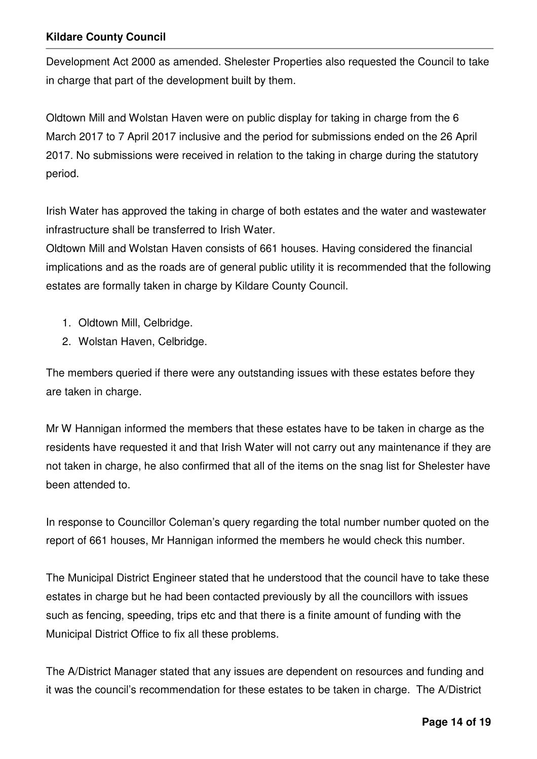Development Act 2000 as amended. Shelester Properties also requested the Council to take in charge that part of the development built by them.

Oldtown Mill and Wolstan Haven were on public display for taking in charge from the 6 March 2017 to 7 April 2017 inclusive and the period for submissions ended on the 26 April 2017. No submissions were received in relation to the taking in charge during the statutory period.

Irish Water has approved the taking in charge of both estates and the water and wastewater infrastructure shall be transferred to Irish Water.

Oldtown Mill and Wolstan Haven consists of 661 houses. Having considered the financial implications and as the roads are of general public utility it is recommended that the following estates are formally taken in charge by Kildare County Council.

- 1. Oldtown Mill, Celbridge.
- 2. Wolstan Haven, Celbridge.

The members queried if there were any outstanding issues with these estates before they are taken in charge.

Mr W Hannigan informed the members that these estates have to be taken in charge as the residents have requested it and that Irish Water will not carry out any maintenance if they are not taken in charge, he also confirmed that all of the items on the snag list for Shelester have been attended to.

In response to Councillor Coleman's query regarding the total number number quoted on the report of 661 houses, Mr Hannigan informed the members he would check this number.

The Municipal District Engineer stated that he understood that the council have to take these estates in charge but he had been contacted previously by all the councillors with issues such as fencing, speeding, trips etc and that there is a finite amount of funding with the Municipal District Office to fix all these problems.

The A/District Manager stated that any issues are dependent on resources and funding and it was the council's recommendation for these estates to be taken in charge. The A/District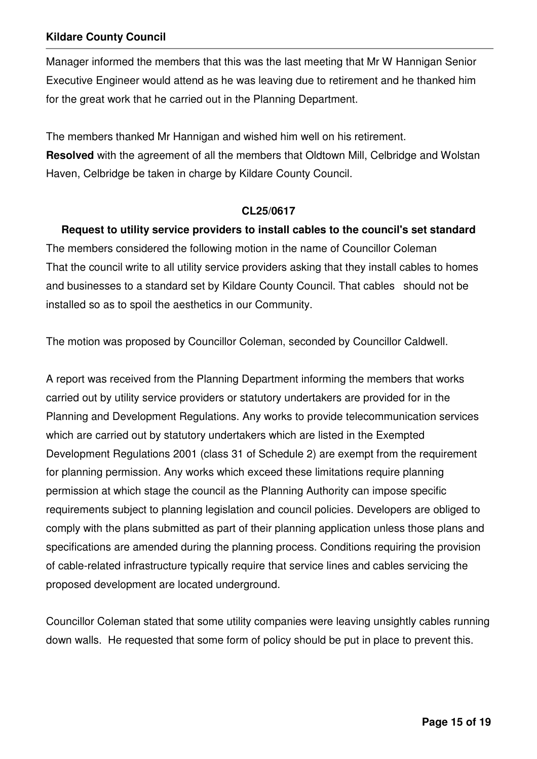Manager informed the members that this was the last meeting that Mr W Hannigan Senior Executive Engineer would attend as he was leaving due to retirement and he thanked him for the great work that he carried out in the Planning Department.

The members thanked Mr Hannigan and wished him well on his retirement. **Resolved** with the agreement of all the members that Oldtown Mill, Celbridge and Wolstan Haven, Celbridge be taken in charge by Kildare County Council.

#### **CL25/0617**

**Request to utility service providers to install cables to the council's set standard**  The members considered the following motion in the name of Councillor Coleman That the council write to all utility service providers asking that they install cables to homes and businesses to a standard set by Kildare County Council. That cables should not be installed so as to spoil the aesthetics in our Community.

The motion was proposed by Councillor Coleman, seconded by Councillor Caldwell.

A report was received from the Planning Department informing the members that works carried out by utility service providers or statutory undertakers are provided for in the Planning and Development Regulations. Any works to provide telecommunication services which are carried out by statutory undertakers which are listed in the Exempted Development Regulations 2001 (class 31 of Schedule 2) are exempt from the requirement for planning permission. Any works which exceed these limitations require planning permission at which stage the council as the Planning Authority can impose specific requirements subject to planning legislation and council policies. Developers are obliged to comply with the plans submitted as part of their planning application unless those plans and specifications are amended during the planning process. Conditions requiring the provision of cable-related infrastructure typically require that service lines and cables servicing the proposed development are located underground.

Councillor Coleman stated that some utility companies were leaving unsightly cables running down walls. He requested that some form of policy should be put in place to prevent this.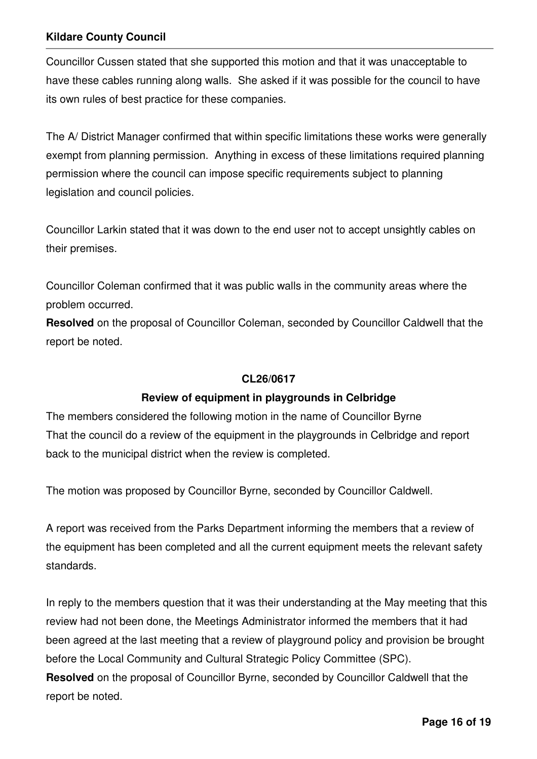Councillor Cussen stated that she supported this motion and that it was unacceptable to have these cables running along walls. She asked if it was possible for the council to have its own rules of best practice for these companies.

The A/ District Manager confirmed that within specific limitations these works were generally exempt from planning permission. Anything in excess of these limitations required planning permission where the council can impose specific requirements subject to planning legislation and council policies.

Councillor Larkin stated that it was down to the end user not to accept unsightly cables on their premises.

Councillor Coleman confirmed that it was public walls in the community areas where the problem occurred.

**Resolved** on the proposal of Councillor Coleman, seconded by Councillor Caldwell that the report be noted.

#### **CL26/0617**

### **Review of equipment in playgrounds in Celbridge**

The members considered the following motion in the name of Councillor Byrne That the council do a review of the equipment in the playgrounds in Celbridge and report back to the municipal district when the review is completed.

The motion was proposed by Councillor Byrne, seconded by Councillor Caldwell.

A report was received from the Parks Department informing the members that a review of the equipment has been completed and all the current equipment meets the relevant safety standards.

In reply to the members question that it was their understanding at the May meeting that this review had not been done, the Meetings Administrator informed the members that it had been agreed at the last meeting that a review of playground policy and provision be brought before the Local Community and Cultural Strategic Policy Committee (SPC).

**Resolved** on the proposal of Councillor Byrne, seconded by Councillor Caldwell that the report be noted.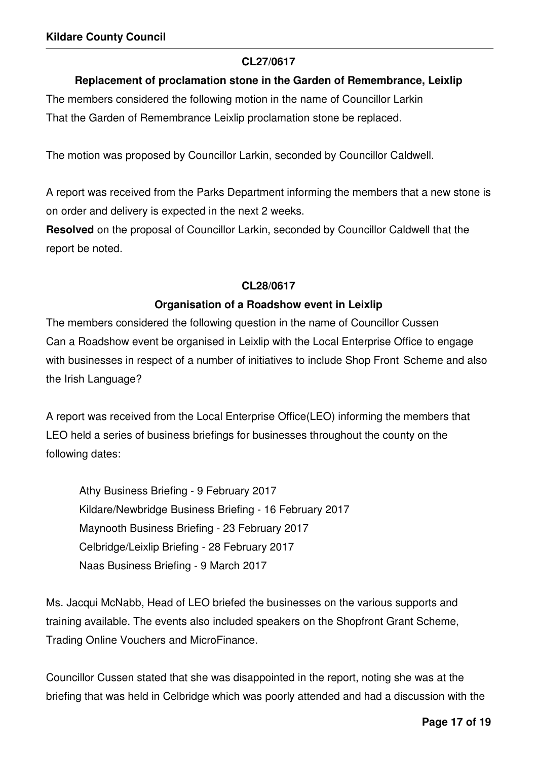#### **CL27/0617**

#### **Replacement of proclamation stone in the Garden of Remembrance, Leixlip**

The members considered the following motion in the name of Councillor Larkin That the Garden of Remembrance Leixlip proclamation stone be replaced.

The motion was proposed by Councillor Larkin, seconded by Councillor Caldwell.

A report was received from the Parks Department informing the members that a new stone is on order and delivery is expected in the next 2 weeks.

**Resolved** on the proposal of Councillor Larkin, seconded by Councillor Caldwell that the report be noted.

#### **CL28/0617**

### **Organisation of a Roadshow event in Leixlip**

The members considered the following question in the name of Councillor Cussen Can a Roadshow event be organised in Leixlip with the Local Enterprise Office to engage with businesses in respect of a number of initiatives to include Shop Front Scheme and also the Irish Language?

A report was received from the Local Enterprise Office(LEO) informing the members that LEO held a series of business briefings for businesses throughout the county on the following dates:

 Athy Business Briefing - 9 February 2017 Kildare/Newbridge Business Briefing - 16 February 2017 Maynooth Business Briefing - 23 February 2017 Celbridge/Leixlip Briefing - 28 February 2017 Naas Business Briefing - 9 March 2017

Ms. Jacqui McNabb, Head of LEO briefed the businesses on the various supports and training available. The events also included speakers on the Shopfront Grant Scheme, Trading Online Vouchers and MicroFinance.

Councillor Cussen stated that she was disappointed in the report, noting she was at the briefing that was held in Celbridge which was poorly attended and had a discussion with the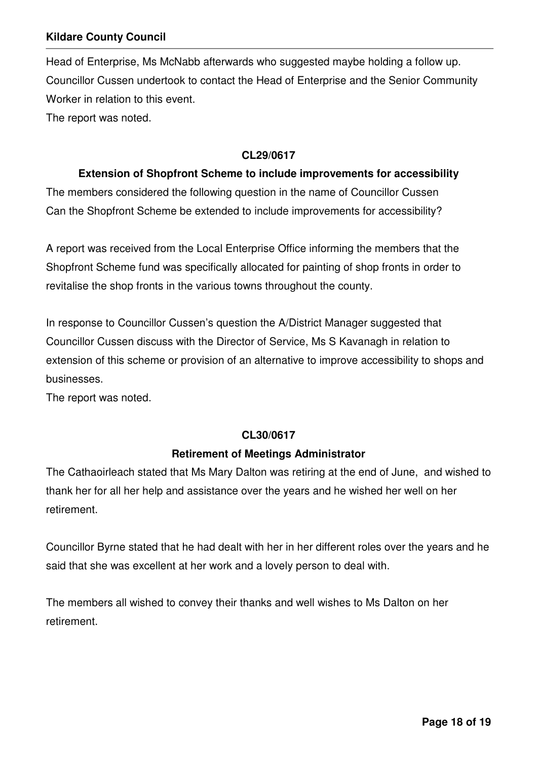Head of Enterprise, Ms McNabb afterwards who suggested maybe holding a follow up. Councillor Cussen undertook to contact the Head of Enterprise and the Senior Community Worker in relation to this event.

The report was noted.

#### **CL29/0617**

# **Extension of Shopfront Scheme to include improvements for accessibility**  The members considered the following question in the name of Councillor Cussen Can the Shopfront Scheme be extended to include improvements for accessibility?

A report was received from the Local Enterprise Office informing the members that the Shopfront Scheme fund was specifically allocated for painting of shop fronts in order to revitalise the shop fronts in the various towns throughout the county.

In response to Councillor Cussen's question the A/District Manager suggested that Councillor Cussen discuss with the Director of Service, Ms S Kavanagh in relation to extension of this scheme or provision of an alternative to improve accessibility to shops and businesses.

The report was noted.

#### **CL30/0617**

#### **Retirement of Meetings Administrator**

The Cathaoirleach stated that Ms Mary Dalton was retiring at the end of June, and wished to thank her for all her help and assistance over the years and he wished her well on her retirement.

Councillor Byrne stated that he had dealt with her in her different roles over the years and he said that she was excellent at her work and a lovely person to deal with.

The members all wished to convey their thanks and well wishes to Ms Dalton on her retirement.